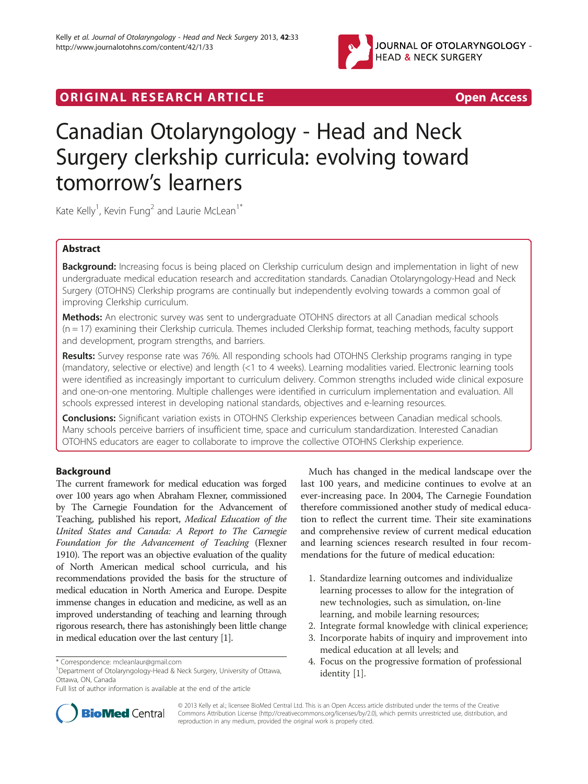

## **ORIGINAL RESEARCH ARTICLE CONSUMING ACCESS**

# Canadian Otolaryngology - Head and Neck Surgery clerkship curricula: evolving toward tomorrow's learners

Kate Kelly<sup>1</sup>, Kevin Fung<sup>2</sup> and Laurie McLean<sup>1\*</sup>

## Abstract

Background: Increasing focus is being placed on Clerkship curriculum design and implementation in light of new undergraduate medical education research and accreditation standards. Canadian Otolaryngology-Head and Neck Surgery (OTOHNS) Clerkship programs are continually but independently evolving towards a common goal of improving Clerkship curriculum.

Methods: An electronic survey was sent to undergraduate OTOHNS directors at all Canadian medical schools  $(n = 17)$  examining their Clerkship curricula. Themes included Clerkship format, teaching methods, faculty support and development, program strengths, and barriers.

Results: Survey response rate was 76%. All responding schools had OTOHNS Clerkship programs ranging in type (mandatory, selective or elective) and length (<1 to 4 weeks). Learning modalities varied. Electronic learning tools were identified as increasingly important to curriculum delivery. Common strengths included wide clinical exposure and one-on-one mentoring. Multiple challenges were identified in curriculum implementation and evaluation. All schools expressed interest in developing national standards, objectives and e-learning resources.

**Conclusions:** Significant variation exists in OTOHNS Clerkship experiences between Canadian medical schools. Many schools perceive barriers of insufficient time, space and curriculum standardization. Interested Canadian OTOHNS educators are eager to collaborate to improve the collective OTOHNS Clerkship experience.

## Background

The current framework for medical education was forged over 100 years ago when Abraham Flexner, commissioned by The Carnegie Foundation for the Advancement of Teaching, published his report, Medical Education of the United States and Canada: A Report to The Carnegie Foundation for the Advancement of Teaching (Flexner 1910). The report was an objective evaluation of the quality of North American medical school curricula, and his recommendations provided the basis for the structure of medical education in North America and Europe. Despite immense changes in education and medicine, as well as an improved understanding of teaching and learning through rigorous research, there has astonishingly been little change in medical education over the last century [\[1](#page-7-0)].

Much has changed in the medical landscape over the last 100 years, and medicine continues to evolve at an ever-increasing pace. In 2004, The Carnegie Foundation therefore commissioned another study of medical education to reflect the current time. Their site examinations and comprehensive review of current medical education and learning sciences research resulted in four recommendations for the future of medical education:

- 1. Standardize learning outcomes and individualize learning processes to allow for the integration of new technologies, such as simulation, on-line learning, and mobile learning resources;
- 2. Integrate formal knowledge with clinical experience;
- 3. Incorporate habits of inquiry and improvement into medical education at all levels; and
- 4. Focus on the progressive formation of professional identity [[1\]](#page-7-0).



© 2013 Kelly et al.; licensee BioMed Central Ltd. This is an Open Access article distributed under the terms of the Creative Commons Attribution License [\(http://creativecommons.org/licenses/by/2.0\)](http://creativecommons.org/licenses/by/2.0), which permits unrestricted use, distribution, and reproduction in any medium, provided the original work is properly cited.

<sup>\*</sup> Correspondence: [mcleanlaur@gmail.com](mailto:mcleanlaur@gmail.com) <sup>1</sup>

<sup>&</sup>lt;sup>1</sup>Department of Otolaryngology-Head & Neck Surgery, University of Ottawa, Ottawa, ON, Canada

Full list of author information is available at the end of the article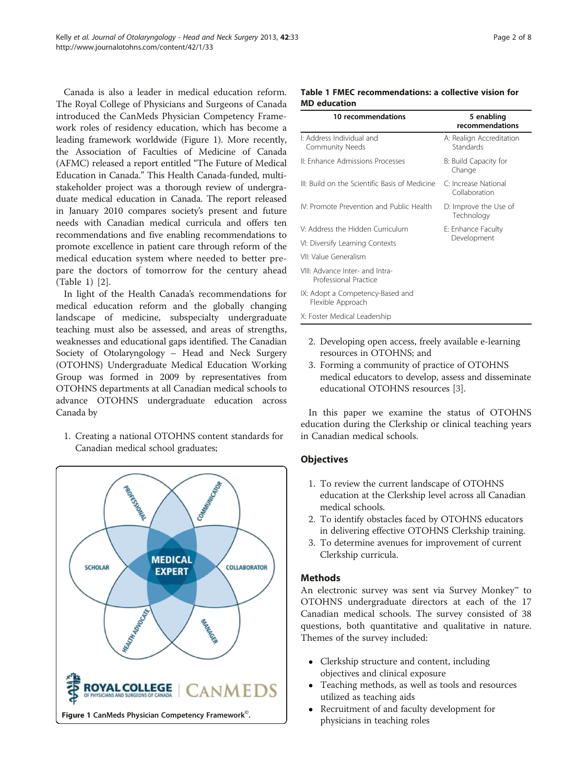Canada is also a leader in medical education reform. The Royal College of Physicians and Surgeons of Canada introduced the CanMeds Physician Competency Framework roles of residency education, which has become a leading framework worldwide (Figure 1). More recently, the Association of Faculties of Medicine of Canada (AFMC) released a report entitled "The Future of Medical Education in Canada." This Health Canada-funded, multistakeholder project was a thorough review of undergraduate medical education in Canada. The report released in January 2010 compares society's present and future needs with Canadian medical curricula and offers ten recommendations and five enabling recommendations to promote excellence in patient care through reform of the medical education system where needed to better prepare the doctors of tomorrow for the century ahead (Table 1) [[2\]](#page-7-0).

In light of the Health Canada's recommendations for medical education reform and the globally changing landscape of medicine, subspecialty undergraduate teaching must also be assessed, and areas of strengths, weaknesses and educational gaps identified. The Canadian Society of Otolaryngology – Head and Neck Surgery (OTOHNS) Undergraduate Medical Education Working Group was formed in 2009 by representatives from OTOHNS departments at all Canadian medical schools to advance OTOHNS undergraduate education across Canada by

1. Creating a national OTOHNS content standards for Canadian medical school graduates;



Table 1 FMEC recommendations: a collective vision for MD education

| 10 recommendations                                       | 5 enabling<br>recommendations         |
|----------------------------------------------------------|---------------------------------------|
| I: Address Individual and<br>Community Needs             | A: Realign Accreditation<br>Standards |
| II: Enhance Admissions Processes                         | B: Build Capacity for<br>Change       |
| III: Build on the Scientific Basis of Medicine           | C: Increase National<br>Collaboration |
| IV: Promote Prevention and Public Health                 | D: Improve the Use of<br>Technology   |
| V: Address the Hidden Curriculum                         | E: Enhance Faculty                    |
| VI: Diversify Learning Contexts                          | Development                           |
| VII: Value Generalism                                    |                                       |
| VIII: Advance Inter- and Intra-<br>Professional Practice |                                       |
| IX: Adopt a Competency-Based and<br>Flexible Approach    |                                       |
| X: Foster Medical Leadership                             |                                       |

- 2. Developing open access, freely available e-learning resources in OTOHNS; and
- 3. Forming a community of practice of OTOHNS medical educators to develop, assess and disseminate educational OTOHNS resources [[3\]](#page-7-0).

In this paper we examine the status of OTOHNS education during the Clerkship or clinical teaching years in Canadian medical schools.

## **Objectives**

- 1. To review the current landscape of OTOHNS education at the Clerkship level across all Canadian medical schools.
- 2. To identify obstacles faced by OTOHNS educators in delivering effective OTOHNS Clerkship training.
- 3. To determine avenues for improvement of current Clerkship curricula.

## Methods

An electronic survey was sent via Survey Monkey™ to OTOHNS undergraduate directors at each of the 17 Canadian medical schools. The survey consisted of 38 questions, both quantitative and qualitative in nature. Themes of the survey included:

- Clerkship structure and content, including objectives and clinical exposure
- Teaching methods, as well as tools and resources utilized as teaching aids
- Recruitment of and faculty development for physicians in teaching roles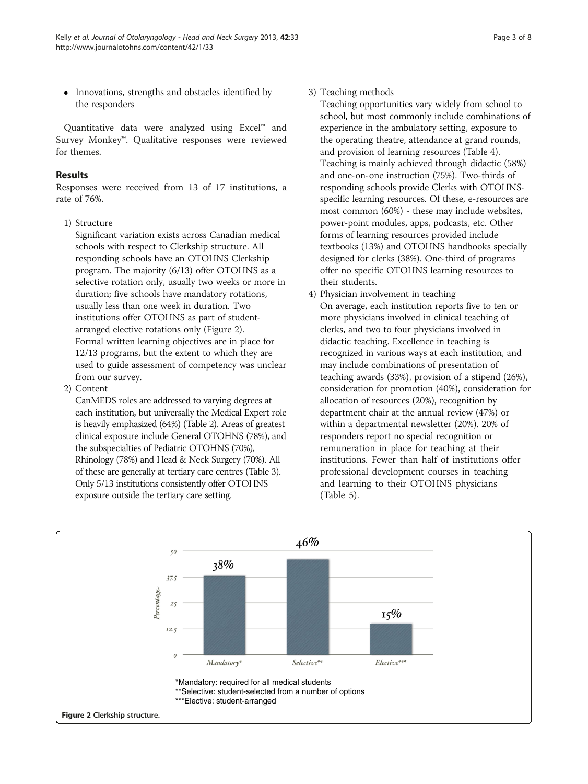• Innovations, strengths and obstacles identified by the responders

Quantitative data were analyzed using Excel™ and Survey Monkey™. Qualitative responses were reviewed for themes.

## Results

Responses were received from 13 of 17 institutions, a rate of 76%.

## 1) Structure

Significant variation exists across Canadian medical schools with respect to Clerkship structure. All responding schools have an OTOHNS Clerkship program. The majority (6/13) offer OTOHNS as a selective rotation only, usually two weeks or more in duration; five schools have mandatory rotations, usually less than one week in duration. Two institutions offer OTOHNS as part of studentarranged elective rotations only (Figure 2). Formal written learning objectives are in place for 12/13 programs, but the extent to which they are used to guide assessment of competency was unclear from our survey.

2) Content

CanMEDS roles are addressed to varying degrees at each institution, but universally the Medical Expert role is heavily emphasized (64%) (Table [2\)](#page-3-0). Areas of greatest clinical exposure include General OTOHNS (78%), and the subspecialties of Pediatric OTOHNS (70%), Rhinology (78%) and Head & Neck Surgery (70%). All of these are generally at tertiary care centres (Table [3\)](#page-3-0). Only 5/13 institutions consistently offer OTOHNS exposure outside the tertiary care setting.

3) Teaching methods

Teaching opportunities vary widely from school to school, but most commonly include combinations of experience in the ambulatory setting, exposure to the operating theatre, attendance at grand rounds, and provision of learning resources (Table [4\)](#page-3-0). Teaching is mainly achieved through didactic (58%) and one-on-one instruction (75%). Two-thirds of responding schools provide Clerks with OTOHNSspecific learning resources. Of these, e-resources are most common (60%) - these may include websites, power-point modules, apps, podcasts, etc. Other forms of learning resources provided include textbooks (13%) and OTOHNS handbooks specially designed for clerks (38%). One-third of programs offer no specific OTOHNS learning resources to their students.

4) Physician involvement in teaching On average, each institution reports five to ten or more physicians involved in clinical teaching of clerks, and two to four physicians involved in didactic teaching. Excellence in teaching is recognized in various ways at each institution, and may include combinations of presentation of teaching awards (33%), provision of a stipend (26%), consideration for promotion (40%), consideration for allocation of resources (20%), recognition by department chair at the annual review (47%) or within a departmental newsletter (20%). 20% of responders report no special recognition or remuneration in place for teaching at their institutions. Fewer than half of institutions offer professional development courses in teaching and learning to their OTOHNS physicians (Table [5\)](#page-3-0).

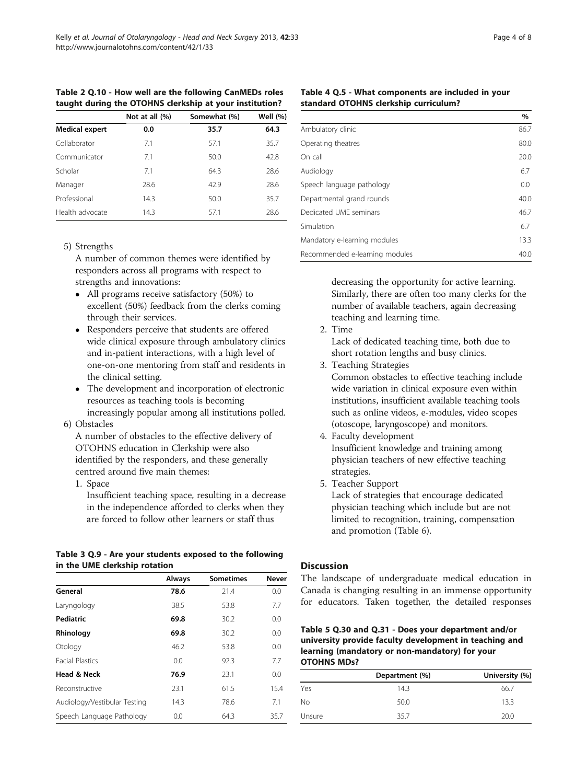## <span id="page-3-0"></span>Table 2 Q.10 - How well are the following CanMEDs roles taught during the OTOHNS clerkship at your institution?

|                       | Not at all (%) | Somewhat (%) | <b>Well</b> (%) |
|-----------------------|----------------|--------------|-----------------|
| <b>Medical expert</b> | 0.0            | 35.7         | 64.3            |
| Collaborator          | 7.1            | 57.1         | 35.7            |
| Communicator          | 7.1            | 50.0         | 42.8            |
| Scholar               | 7.1            | 64.3         | 28.6            |
| Manager               | 28.6           | 42.9         | 28.6            |
| Professional          | 14.3           | 50.0         | 35.7            |
| Health advocate       | 14.3           | 57.1         | 28.6            |

## 5) Strengths

A number of common themes were identified by responders across all programs with respect to strengths and innovations:

- All programs receive satisfactory (50%) to excellent (50%) feedback from the clerks coming through their services.
- Responders perceive that students are offered wide clinical exposure through ambulatory clinics and in-patient interactions, with a high level of one-on-one mentoring from staff and residents in the clinical setting.
- The development and incorporation of electronic resources as teaching tools is becoming

increasingly popular among all institutions polled.

## 6) Obstacles

A number of obstacles to the effective delivery of OTOHNS education in Clerkship were also identified by the responders, and these generally centred around five main themes:

1. Space

Insufficient teaching space, resulting in a decrease in the independence afforded to clerks when they are forced to follow other learners or staff thus

## Table 3 Q.9 - Are your students exposed to the following in the UME clerkship rotation

|                              | <b>Always</b> | <b>Sometimes</b> | Never |
|------------------------------|---------------|------------------|-------|
| General                      | 78.6          | 21.4             | 0.0   |
| Laryngology                  | 38.5          | 53.8             | 7.7   |
| Pediatric                    | 69.8          | 30.2             | 0.0   |
| Rhinology                    | 69.8          | 30.2             | 0.0   |
| Otology                      | 46.2          | 53.8             | 0.0   |
| <b>Facial Plastics</b>       | 0.0           | 92.3             | 7.7   |
| Head & Neck                  | 76.9          | 23.1             | 0.0   |
| Reconstructive               | 23.1          | 61.5             | 15.4  |
| Audiology/Vestibular Testing | 14.3          | 78.6             | 7.1   |
| Speech Language Pathology    | 0.0           | 64.3             | 35.7  |

#### Table 4 Q.5 - What components are included in your standard OTOHNS clerkship curriculum?

|                                | %    |
|--------------------------------|------|
| Ambulatory clinic              | 86.7 |
| Operating theatres             | 80.0 |
| On call                        | 20.0 |
| Audiology                      | 6.7  |
| Speech language pathology      | 0.0  |
| Departmental grand rounds      | 40.0 |
| Dedicated UMF seminars         | 46.7 |
| Simulation                     | 6.7  |
| Mandatory e-learning modules   | 13.3 |
| Recommended e-learning modules | 40.0 |

decreasing the opportunity for active learning. Similarly, there are often too many clerks for the number of available teachers, again decreasing teaching and learning time.

2. Time

Lack of dedicated teaching time, both due to short rotation lengths and busy clinics.

3. Teaching Strategies Common obstacles to effective teaching include wide variation in clinical exposure even within institutions, insufficient available teaching tools such as online videos, e-modules, video scopes (otoscope, laryngoscope) and monitors.

- 4. Faculty development Insufficient knowledge and training among physician teachers of new effective teaching strategies.
- 5. Teacher Support

Lack of strategies that encourage dedicated physician teaching which include but are not limited to recognition, training, compensation and promotion (Table [6\)](#page-4-0).

#### **Discussion**

The landscape of undergraduate medical education in Canada is changing resulting in an immense opportunity for educators. Taken together, the detailed responses

## Table 5 Q.30 and Q.31 - Does your department and/or university provide faculty development in teaching and learning (mandatory or non-mandatory) for your OTOHNS MDs?

|        | Department (%) | University (%) |
|--------|----------------|----------------|
| Yes    | 14.3           | 66.7           |
| No     | 50.0           | 13.3           |
| Unsure | 35.7           | 20.0           |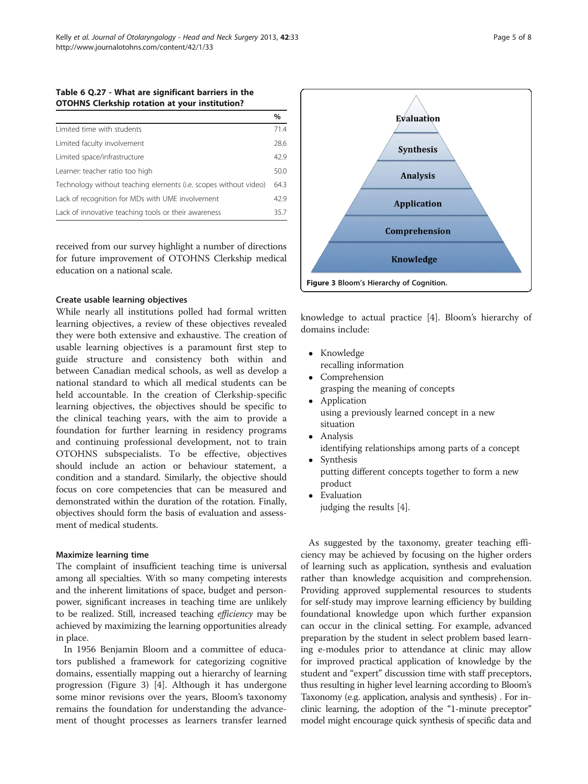#### <span id="page-4-0"></span>Table 6 Q.27 - What are significant barriers in the OTOHNS Clerkship rotation at your institution?

|                                                                  | $\frac{0}{0}$ |
|------------------------------------------------------------------|---------------|
| Limited time with students                                       | 71.4          |
| Limited faculty involvement                                      | 28.6          |
| Limited space/infrastructure                                     | 42.9          |
| Learner: teacher ratio too high                                  | 50.0          |
| Technology without teaching elements (i.e. scopes without video) | 64.3          |
| Lack of recognition for MDs with UME involvement                 | 42.9          |
| Lack of innovative teaching tools or their awareness             | 357           |

received from our survey highlight a number of directions for future improvement of OTOHNS Clerkship medical education on a national scale.

#### Create usable learning objectives

While nearly all institutions polled had formal written learning objectives, a review of these objectives revealed they were both extensive and exhaustive. The creation of usable learning objectives is a paramount first step to guide structure and consistency both within and between Canadian medical schools, as well as develop a national standard to which all medical students can be held accountable. In the creation of Clerkship-specific learning objectives, the objectives should be specific to the clinical teaching years, with the aim to provide a foundation for further learning in residency programs and continuing professional development, not to train OTOHNS subspecialists. To be effective, objectives should include an action or behaviour statement, a condition and a standard. Similarly, the objective should focus on core competencies that can be measured and demonstrated within the duration of the rotation. Finally, objectives should form the basis of evaluation and assessment of medical students.

#### Maximize learning time

The complaint of insufficient teaching time is universal among all specialties. With so many competing interests and the inherent limitations of space, budget and personpower, significant increases in teaching time are unlikely to be realized. Still, increased teaching efficiency may be achieved by maximizing the learning opportunities already in place.

In 1956 Benjamin Bloom and a committee of educators published a framework for categorizing cognitive domains, essentially mapping out a hierarchy of learning progression (Figure 3) [\[4](#page-7-0)]. Although it has undergone some minor revisions over the years, Bloom's taxonomy remains the foundation for understanding the advancement of thought processes as learners transfer learned



knowledge to actual practice [[4\]](#page-7-0). Bloom's hierarchy of domains include:

- Knowledge recalling information
- Comprehension grasping the meaning of concepts
- Application using a previously learned concept in a new situation
- Analysis

identifying relationships among parts of a concept • Synthesis

- putting different concepts together to form a new product
- Evaluation judging the results [\[4](#page-7-0)].

As suggested by the taxonomy, greater teaching efficiency may be achieved by focusing on the higher orders of learning such as application, synthesis and evaluation rather than knowledge acquisition and comprehension. Providing approved supplemental resources to students for self-study may improve learning efficiency by building foundational knowledge upon which further expansion can occur in the clinical setting. For example, advanced preparation by the student in select problem based learning e-modules prior to attendance at clinic may allow for improved practical application of knowledge by the student and "expert" discussion time with staff preceptors, thus resulting in higher level learning according to Bloom's Taxonomy (e.g. application, analysis and synthesis) . For inclinic learning, the adoption of the "1-minute preceptor" model might encourage quick synthesis of specific data and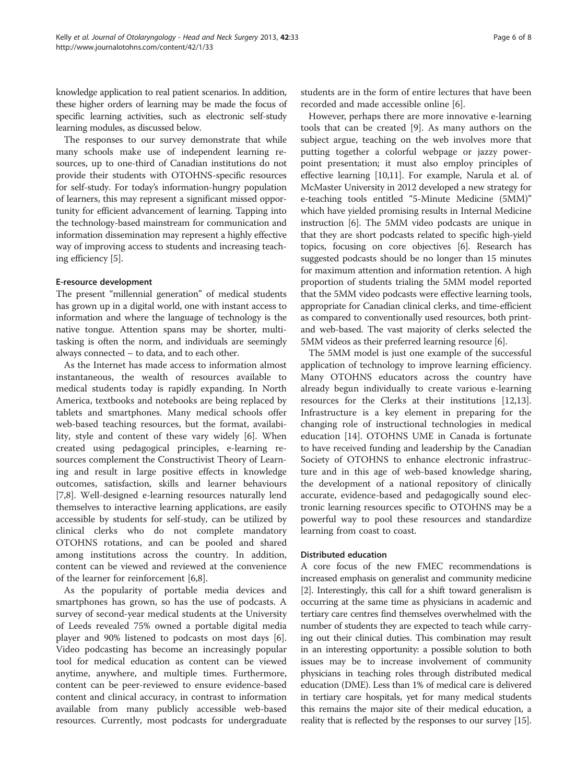knowledge application to real patient scenarios. In addition, these higher orders of learning may be made the focus of specific learning activities, such as electronic self-study learning modules, as discussed below.

The responses to our survey demonstrate that while many schools make use of independent learning resources, up to one-third of Canadian institutions do not provide their students with OTOHNS-specific resources for self-study. For today's information-hungry population of learners, this may represent a significant missed opportunity for efficient advancement of learning. Tapping into the technology-based mainstream for communication and information dissemination may represent a highly effective way of improving access to students and increasing teaching efficiency [[5\]](#page-7-0).

#### E-resource development

The present "millennial generation" of medical students has grown up in a digital world, one with instant access to information and where the language of technology is the native tongue. Attention spans may be shorter, multitasking is often the norm, and individuals are seemingly always connected – to data, and to each other.

As the Internet has made access to information almost instantaneous, the wealth of resources available to medical students today is rapidly expanding. In North America, textbooks and notebooks are being replaced by tablets and smartphones. Many medical schools offer web-based teaching resources, but the format, availability, style and content of these vary widely [\[6](#page-7-0)]. When created using pedagogical principles, e-learning resources complement the Constructivist Theory of Learning and result in large positive effects in knowledge outcomes, satisfaction, skills and learner behaviours [[7,8\]](#page-7-0). Well-designed e-learning resources naturally lend themselves to interactive learning applications, are easily accessible by students for self-study, can be utilized by clinical clerks who do not complete mandatory OTOHNS rotations, and can be pooled and shared among institutions across the country. In addition, content can be viewed and reviewed at the convenience of the learner for reinforcement [\[6,8](#page-7-0)].

As the popularity of portable media devices and smartphones has grown, so has the use of podcasts. A survey of second-year medical students at the University of Leeds revealed 75% owned a portable digital media player and 90% listened to podcasts on most days [\[6](#page-7-0)]. Video podcasting has become an increasingly popular tool for medical education as content can be viewed anytime, anywhere, and multiple times. Furthermore, content can be peer-reviewed to ensure evidence-based content and clinical accuracy, in contrast to information available from many publicly accessible web-based resources. Currently, most podcasts for undergraduate students are in the form of entire lectures that have been recorded and made accessible online [\[6](#page-7-0)].

However, perhaps there are more innovative e-learning tools that can be created [\[9\]](#page-7-0). As many authors on the subject argue, teaching on the web involves more that putting together a colorful webpage or jazzy powerpoint presentation; it must also employ principles of effective learning [[10,11](#page-7-0)]. For example, Narula et al. of McMaster University in 2012 developed a new strategy for e-teaching tools entitled "5-Minute Medicine (5MM)" which have yielded promising results in Internal Medicine instruction [[6\]](#page-7-0). The 5MM video podcasts are unique in that they are short podcasts related to specific high-yield topics, focusing on core objectives [\[6](#page-7-0)]. Research has suggested podcasts should be no longer than 15 minutes for maximum attention and information retention. A high proportion of students trialing the 5MM model reported that the 5MM video podcasts were effective learning tools, appropriate for Canadian clinical clerks, and time-efficient as compared to conventionally used resources, both printand web-based. The vast majority of clerks selected the 5MM videos as their preferred learning resource [\[6\]](#page-7-0).

The 5MM model is just one example of the successful application of technology to improve learning efficiency. Many OTOHNS educators across the country have already begun individually to create various e-learning resources for the Clerks at their institutions [\[12,13](#page-7-0)]. Infrastructure is a key element in preparing for the changing role of instructional technologies in medical education [\[14\]](#page-7-0). OTOHNS UME in Canada is fortunate to have received funding and leadership by the Canadian Society of OTOHNS to enhance electronic infrastructure and in this age of web-based knowledge sharing, the development of a national repository of clinically accurate, evidence-based and pedagogically sound electronic learning resources specific to OTOHNS may be a powerful way to pool these resources and standardize learning from coast to coast.

#### Distributed education

A core focus of the new FMEC recommendations is increased emphasis on generalist and community medicine [[2](#page-7-0)]. Interestingly, this call for a shift toward generalism is occurring at the same time as physicians in academic and tertiary care centres find themselves overwhelmed with the number of students they are expected to teach while carrying out their clinical duties. This combination may result in an interesting opportunity: a possible solution to both issues may be to increase involvement of community physicians in teaching roles through distributed medical education (DME). Less than 1% of medical care is delivered in tertiary care hospitals, yet for many medical students this remains the major site of their medical education, a reality that is reflected by the responses to our survey [[15](#page-7-0)].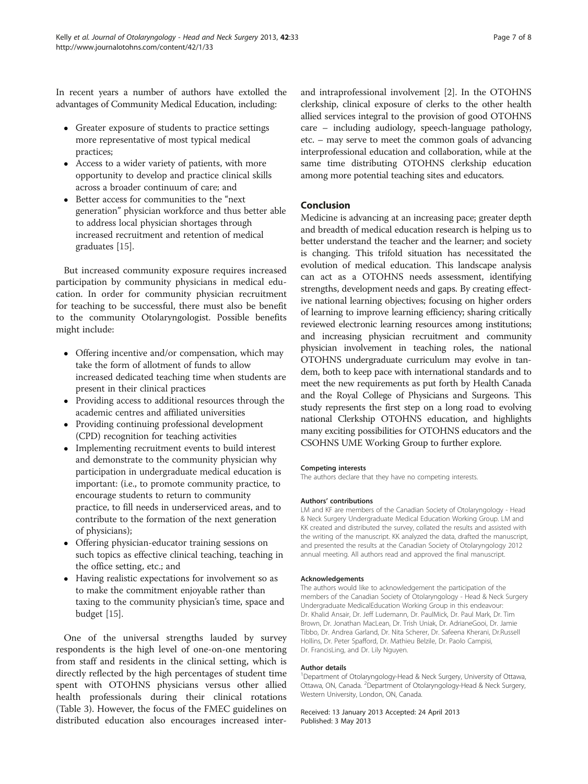In recent years a number of authors have extolled the advantages of Community Medical Education, including:

- Greater exposure of students to practice settings more representative of most typical medical practices;
- Access to a wider variety of patients, with more opportunity to develop and practice clinical skills across a broader continuum of care; and
- Better access for communities to the "next generation" physician workforce and thus better able to address local physician shortages through increased recruitment and retention of medical graduates [\[15\]](#page-7-0).

But increased community exposure requires increased participation by community physicians in medical education. In order for community physician recruitment for teaching to be successful, there must also be benefit to the community Otolaryngologist. Possible benefits might include:

- Offering incentive and/or compensation, which may take the form of allotment of funds to allow increased dedicated teaching time when students are present in their clinical practices
- Providing access to additional resources through the academic centres and affiliated universities
- Providing continuing professional development (CPD) recognition for teaching activities
- Implementing recruitment events to build interest and demonstrate to the community physician why participation in undergraduate medical education is important: (i.e., to promote community practice, to encourage students to return to community practice, to fill needs in underserviced areas, and to contribute to the formation of the next generation of physicians);
- Offering physician-educator training sessions on such topics as effective clinical teaching, teaching in the office setting, etc.; and
- Having realistic expectations for involvement so as to make the commitment enjoyable rather than taxing to the community physician's time, space and budget [\[15\]](#page-7-0).

One of the universal strengths lauded by survey respondents is the high level of one-on-one mentoring from staff and residents in the clinical setting, which is directly reflected by the high percentages of student time spent with OTOHNS physicians versus other allied health professionals during their clinical rotations (Table [3\)](#page-3-0). However, the focus of the FMEC guidelines on distributed education also encourages increased inter-

and intraprofessional involvement [[2\]](#page-7-0). In the OTOHNS clerkship, clinical exposure of clerks to the other health allied services integral to the provision of good OTOHNS care – including audiology, speech-language pathology, etc. – may serve to meet the common goals of advancing interprofessional education and collaboration, while at the same time distributing OTOHNS clerkship education among more potential teaching sites and educators.

## Conclusion

Medicine is advancing at an increasing pace; greater depth and breadth of medical education research is helping us to better understand the teacher and the learner; and society is changing. This trifold situation has necessitated the evolution of medical education. This landscape analysis can act as a OTOHNS needs assessment, identifying strengths, development needs and gaps. By creating effective national learning objectives; focusing on higher orders of learning to improve learning efficiency; sharing critically reviewed electronic learning resources among institutions; and increasing physician recruitment and community physician involvement in teaching roles, the national OTOHNS undergraduate curriculum may evolve in tandem, both to keep pace with international standards and to meet the new requirements as put forth by Health Canada and the Royal College of Physicians and Surgeons. This study represents the first step on a long road to evolving national Clerkship OTOHNS education, and highlights many exciting possibilities for OTOHNS educators and the CSOHNS UME Working Group to further explore.

#### Competing interests

The authors declare that they have no competing interests.

#### Authors' contributions

LM and KF are members of the Canadian Society of Otolaryngology - Head & Neck Surgery Undergraduate Medical Education Working Group. LM and KK created and distributed the survey, collated the results and assisted with the writing of the manuscript. KK analyzed the data, drafted the manuscript, and presented the results at the Canadian Society of Otolaryngology 2012 annual meeting. All authors read and approved the final manuscript.

#### Acknowledgements

The authors would like to acknowledgement the participation of the members of the Canadian Society of Otolaryngology - Head & Neck Surgery Undergraduate MedicalEducation Working Group in this endeavour: Dr. Khalid Ansair, Dr. Jeff Ludemann, Dr. PaulMick, Dr. Paul Mark, Dr. Tim Brown, Dr. Jonathan MacLean, Dr. Trish Uniak, Dr. AdrianeGooi, Dr. Jamie Tibbo, Dr. Andrea Garland, Dr. Nita Scherer, Dr. Safeena Kherani, Dr.Russell Hollins, Dr. Peter Spafford, Dr. Mathieu Belzile, Dr. Paolo Campisi, Dr. FrancisLing, and Dr. Lily Nguyen.

#### Author details

<sup>1</sup>Department of Otolaryngology-Head & Neck Surgery, University of Ottawa, Ottawa, ON, Canada. <sup>2</sup>Department of Otolaryngology-Head & Neck Surgery Western University, London, ON, Canada.

#### Received: 13 January 2013 Accepted: 24 April 2013 Published: 3 May 2013